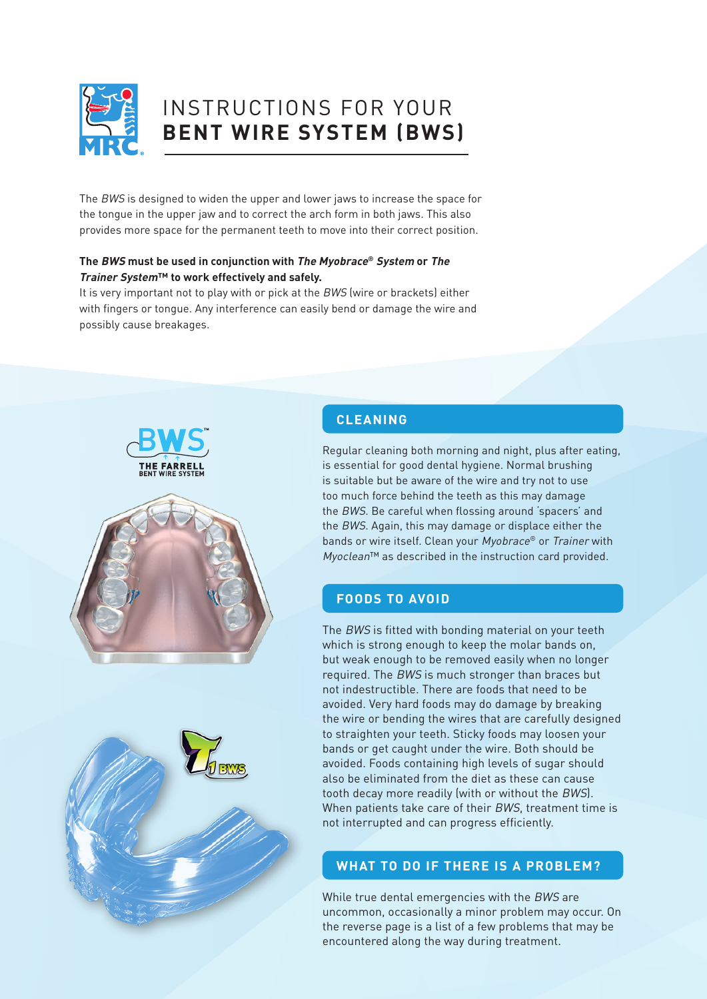

# INSTRUCTIONS FOR YOUR **BENT WIRE SYSTEM (BWS)**

The BWS is designed to widen the upper and lower jaws to increase the space for the tongue in the upper jaw and to correct the arch form in both jaws. This also provides more space for the permanent teeth to move into their correct position.

#### **The BWS must be used in conjunction with The Myobrace® System or The Trainer System™ to work effectively and safely.**

It is very important not to play with or pick at the BWS (wire or brackets) either with fingers or tongue. Any interference can easily bend or damage the wire and possibly cause breakages.



# **CLEANING**

Regular cleaning both morning and night, plus after eating, is essential for good dental hygiene. Normal brushing is suitable but be aware of the wire and try not to use too much force behind the teeth as this may damage the BWS. Be careful when flossing around 'spacers' and the BWS. Again, this may damage or displace either the bands or wire itself. Clean your Myobrace® or Trainer with Myoclean™ as described in the instruction card provided.

### **FOODS TO AVOID**

The BWS is fitted with bonding material on your teeth which is strong enough to keep the molar bands on, but weak enough to be removed easily when no longer required. The BWS is much stronger than braces but not indestructible. There are foods that need to be avoided. Very hard foods may do damage by breaking the wire or bending the wires that are carefully designed to straighten your teeth. Sticky foods may loosen your bands or get caught under the wire. Both should be avoided. Foods containing high levels of sugar should also be eliminated from the diet as these can cause tooth decay more readily (with or without the BWS). When patients take care of their BWS, treatment time is not interrupted and can progress efficiently.

# **WHAT TO DO IF THERE IS A PROBLEM?**

While true dental emergencies with the BWS are uncommon, occasionally a minor problem may occur. On the reverse page is a list of a few problems that may be encountered along the way during treatment.